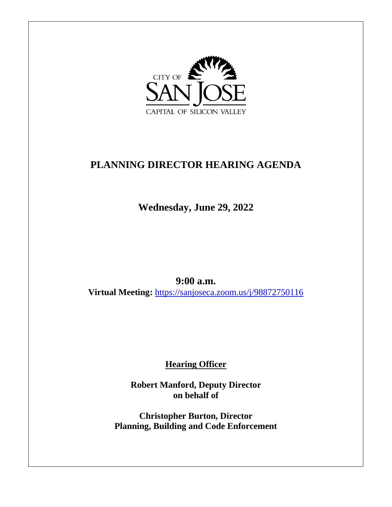

# **PLANNING DIRECTOR HEARING AGENDA**

**Wednesday, June 29, 2022**

**9:00 a.m. Virtual Meeting:** <https://sanjoseca.zoom.us/j/98872750116>

**Hearing Officer**

**Robert Manford, Deputy Director on behalf of**

**Christopher Burton, Director Planning, Building and Code Enforcement**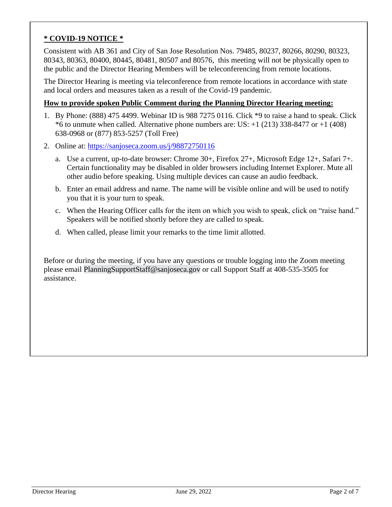#### **\* COVID-19 NOTICE \***

Consistent with AB 361 and City of San Jose Resolution Nos. 79485, 80237, 80266, 80290, 80323, 80343, 80363, 80400, 80445, 80481, 80507 and 80576, this meeting will not be physically open to the public and the Director Hearing Members will be teleconferencing from remote locations.

The Director Hearing is meeting via teleconference from remote locations in accordance with state and local orders and measures taken as a result of the Covid-19 pandemic.

#### **How to provide spoken Public Comment during the Planning Director Hearing meeting:**

- 1. By Phone: (888) 475 4499. Webinar ID is 988 7275 0116. Click \*9 to raise a hand to speak. Click  $*6$  to unmute when called. Alternative phone numbers are: US:  $+1$  (213) 338-8477 or  $+1$  (408) 638-0968 or (877) 853-5257 (Toll Free)
- 2. Online at:<https://sanjoseca.zoom.us/j/98872750116>
	- a. Use a current, up-to-date browser: Chrome 30+, Firefox 27+, Microsoft Edge 12+, Safari 7+. Certain functionality may be disabled in older browsers including Internet Explorer. Mute all other audio before speaking. Using multiple devices can cause an audio feedback.
	- b. Enter an email address and name. The name will be visible online and will be used to notify you that it is your turn to speak.
	- c. When the Hearing Officer calls for the item on which you wish to speak, click on "raise hand." Speakers will be notified shortly before they are called to speak.
	- d. When called, please limit your remarks to the time limit allotted.

Before or during the meeting, if you have any questions or trouble logging into the Zoom meeting please email [PlanningSupportStaff@sanjoseca.gov](mailto:PlanningSupportStaff@sanjoseca.gov) or call Support Staff at 408-535-3505 for assistance.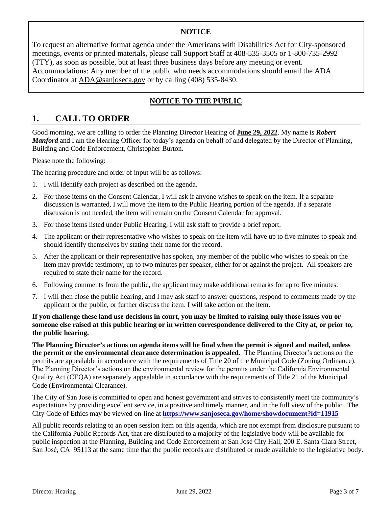#### **NOTICE**

To request an alternative format agenda under the Americans with Disabilities Act for City-sponsored meetings, events or printed materials, please call Support Staff at 408-535-3505 or 1-800-735-2992 (TTY), as soon as possible, but at least three business days before any meeting or event. Accommodations: Any member of the public who needs accommodations should email the ADA Coordinator at [ADA@sanjoseca.gov](mailto:ADA@sanjoseca.gov) or by calling (408) 535-8430.

## **NOTICE TO THE PUBLIC**

## **1. CALL TO ORDER**

Good morning, we are calling to order the Planning Director Hearing of **June 29, 2022**. My name is *Robert Manford* and I am the Hearing Officer for today's agenda on behalf of and delegated by the Director of Planning, Building and Code Enforcement, Christopher Burton.

Please note the following:

The hearing procedure and order of input will be as follows:

- 1. I will identify each project as described on the agenda.
- 2. For those items on the Consent Calendar, I will ask if anyone wishes to speak on the item. If a separate discussion is warranted, I will move the item to the Public Hearing portion of the agenda. If a separate discussion is not needed, the item will remain on the Consent Calendar for approval.
- 3. For those items listed under Public Hearing, I will ask staff to provide a brief report.
- 4. The applicant or their representative who wishes to speak on the item will have up to five minutes to speak and should identify themselves by stating their name for the record.
- 5. After the applicant or their representative has spoken, any member of the public who wishes to speak on the item may provide testimony, up to two minutes per speaker, either for or against the project. All speakers are required to state their name for the record.
- 6. Following comments from the public, the applicant may make additional remarks for up to five minutes.
- 7. I will then close the public hearing, and I may ask staff to answer questions, respond to comments made by the applicant or the public, or further discuss the item. I will take action on the item.

**If you challenge these land use decisions in court, you may be limited to raising only those issues you or someone else raised at this public hearing or in written correspondence delivered to the City at, or prior to, the public hearing.**

**The Planning Director's actions on agenda items will be final when the permit is signed and mailed, unless the permit or the environmental clearance determination is appealed.** The Planning Director's actions on the permits are appealable in accordance with the requirements of Title 20 of the Municipal Code (Zoning Ordinance). The Planning Director's actions on the environmental review for the permits under the California Environmental Quality Act (CEQA) are separately appealable in accordance with the requirements of Title 21 of the Municipal Code (Environmental Clearance).

The City of San Jose is committed to open and honest government and strives to consistently meet the community's expectations by providing excellent service, in a positive and timely manner, and in the full view of the public. The City Code of Ethics may be viewed on-line at **<https://www.sanjoseca.gov/home/showdocument?id=11915>**

All public records relating to an open session item on this agenda, which are not exempt from disclosure pursuant to the California Public Records Act, that are distributed to a majority of the legislative body will be available for public inspection at the Planning, Building and Code Enforcement at San José City Hall, 200 E. Santa Clara Street, San José, CA 95113 at the same time that the public records are distributed or made available to the legislative body.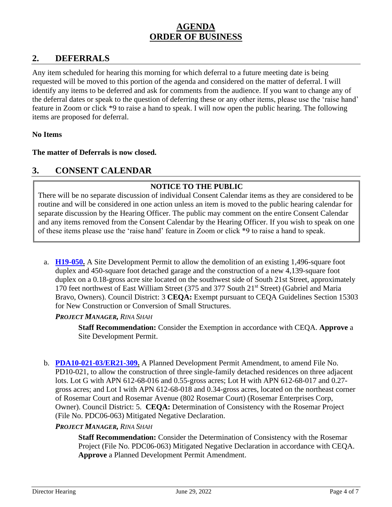## **AGENDA ORDER OF BUSINESS**

## **2. DEFERRALS**

Any item scheduled for hearing this morning for which deferral to a future meeting date is being requested will be moved to this portion of the agenda and considered on the matter of deferral. I will identify any items to be deferred and ask for comments from the audience. If you want to change any of the deferral dates or speak to the question of deferring these or any other items, please use the 'raise hand' feature in Zoom or click \*9 to raise a hand to speak. I will now open the public hearing. The following items are proposed for deferral.

#### **No Items**

#### **The matter of Deferrals is now closed.**

## **3. CONSENT CALENDAR**

### **NOTICE TO THE PUBLIC**

There will be no separate discussion of individual Consent Calendar items as they are considered to be routine and will be considered in one action unless an item is moved to the public hearing calendar for separate discussion by the Hearing Officer. The public may comment on the entire Consent Calendar and any items removed from the Consent Calendar by the Hearing Officer. If you wish to speak on one of these items please use the 'raise hand' feature in Zoom or click \*9 to raise a hand to speak.

a. **[H19-050.](https://www.sanjoseca.gov/home/showdocument?id=87362&t=637914979911367699)** A Site Development Permit to allow the demolition of an existing 1,496-square foot duplex and 450-square foot detached garage and the construction of a new 4,139-square foot duplex on a 0.18-gross acre site located on the southwest side of South 21st Street, approximately 170 feet northwest of East William Street (375 and 377 South 21<sup>st</sup> Street) (Gabriel and Maria Bravo, Owners). Council District: 3 **CEQA:** Exempt pursuant to CEQA Guidelines Section 15303 for New Construction or Conversion of Small Structures.

#### *PROJECT MANAGER, RINA SHAH*

**Staff Recommendation:** Consider the Exemption in accordance with CEQA. **Approve** a Site Development Permit.

b. **[PDA10-021-03/ER21-309.](https://www.sanjoseca.gov/home/showdocument?id=87364&t=637914979918555293)** A Planned Development Permit Amendment, to amend File No. PD10-021, to allow the construction of three single-family detached residences on three adjacent lots. Lot G with APN 612-68-016 and 0.55-gross acres; Lot H with APN 612-68-017 and 0.27 gross acres; and Lot I with APN 612-68-018 and 0.34-gross acres, located on the northeast corner of Rosemar Court and Rosemar Avenue (802 Rosemar Court) (Rosemar Enterprises Corp, Owner). Council District: 5. **CEQA:** Determination of Consistency with the Rosemar Project (File No. PDC06-063) Mitigated Negative Declaration.

### *PROJECT MANAGER, RINA SHAH*

**Staff Recommendation:** Consider the Determination of Consistency with the Rosemar Project (File No. PDC06-063) Mitigated Negative Declaration in accordance with CEQA. **Approve** a Planned Development Permit Amendment.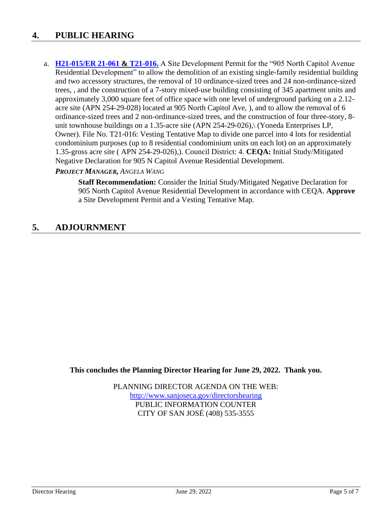## **4. PUBLIC HEARING**

a. **[H21-015/ER 21-061](https://www.sanjoseca.gov/home/showdocument?id=87370&t=637915045579393577) & [T21-016.](https://www.sanjoseca.gov/home/showdocument?id=87372&t=637915045586112488)** A Site Development Permit for the "905 North Capitol Avenue Residential Development" to allow the demolition of an existing single-family residential building and two accessory structures, the removal of 10 ordinance-sized trees and 24 non-ordinance-sized trees, , and the construction of a 7-story mixed-use building consisting of 345 apartment units and approximately 3,000 square feet of office space with one level of underground parking on a 2.12 acre site (APN 254-29-028) located at 905 North Capitol Ave, ), and to allow the removal of 6 ordinance-sized trees and 2 non-ordinance-sized trees, and the construction of four three-story, 8 unit townhouse buildings on a 1.35-acre site (APN 254-29-026),\ (Yoneda Enterprises LP, Owner). File No. T21-016: Vesting Tentative Map to divide one parcel into 4 lots for residential condominium purposes (up to 8 residential condominium units on each lot) on an approximately 1.35-gross acre site ( APN 254-29-026),). Council District: 4. **CEQA:** Initial Study/Mitigated Negative Declaration for 905 N Capitol Avenue Residential Development.

#### *PROJECT MANAGER, ANGELA WANG*

**Staff Recommendation:** Consider the Initial Study/Mitigated Negative Declaration for 905 North Capitol Avenue Residential Development in accordance with CEQA. **Approve** a Site Development Permit and a Vesting Tentative Map.

## **5. ADJOURNMENT**

**This concludes the Planning Director Hearing for June 29, 2022. Thank you.**

PLANNING DIRECTOR AGENDA ON THE WEB: <http://www.sanjoseca.gov/directorshearing> PUBLIC INFORMATION COUNTER CITY OF SAN JOSÉ (408) 535-3555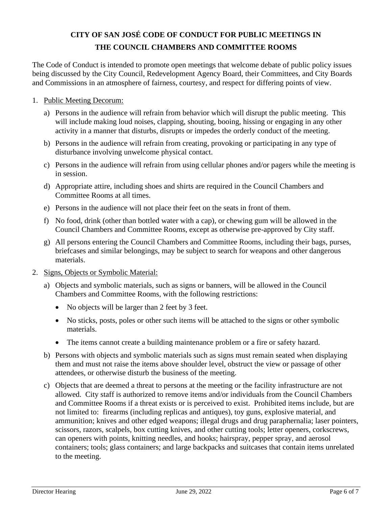# **CITY OF SAN JOSÉ CODE OF CONDUCT FOR PUBLIC MEETINGS IN THE COUNCIL CHAMBERS AND COMMITTEE ROOMS**

The Code of Conduct is intended to promote open meetings that welcome debate of public policy issues being discussed by the City Council, Redevelopment Agency Board, their Committees, and City Boards and Commissions in an atmosphere of fairness, courtesy, and respect for differing points of view.

- 1. Public Meeting Decorum:
	- a) Persons in the audience will refrain from behavior which will disrupt the public meeting. This will include making loud noises, clapping, shouting, booing, hissing or engaging in any other activity in a manner that disturbs, disrupts or impedes the orderly conduct of the meeting.
	- b) Persons in the audience will refrain from creating, provoking or participating in any type of disturbance involving unwelcome physical contact.
	- c) Persons in the audience will refrain from using cellular phones and/or pagers while the meeting is in session.
	- d) Appropriate attire, including shoes and shirts are required in the Council Chambers and Committee Rooms at all times.
	- e) Persons in the audience will not place their feet on the seats in front of them.
	- f) No food, drink (other than bottled water with a cap), or chewing gum will be allowed in the Council Chambers and Committee Rooms, except as otherwise pre-approved by City staff.
	- g) All persons entering the Council Chambers and Committee Rooms, including their bags, purses, briefcases and similar belongings, may be subject to search for weapons and other dangerous materials.
- 2. Signs, Objects or Symbolic Material:
	- a) Objects and symbolic materials, such as signs or banners, will be allowed in the Council Chambers and Committee Rooms, with the following restrictions:
		- No objects will be larger than 2 feet by 3 feet.
		- No sticks, posts, poles or other such items will be attached to the signs or other symbolic materials.
		- The items cannot create a building maintenance problem or a fire or safety hazard.
	- b) Persons with objects and symbolic materials such as signs must remain seated when displaying them and must not raise the items above shoulder level, obstruct the view or passage of other attendees, or otherwise disturb the business of the meeting.
	- c) Objects that are deemed a threat to persons at the meeting or the facility infrastructure are not allowed. City staff is authorized to remove items and/or individuals from the Council Chambers and Committee Rooms if a threat exists or is perceived to exist. Prohibited items include, but are not limited to: firearms (including replicas and antiques), toy guns, explosive material, and ammunition; knives and other edged weapons; illegal drugs and drug paraphernalia; laser pointers, scissors, razors, scalpels, box cutting knives, and other cutting tools; letter openers, corkscrews, can openers with points, knitting needles, and hooks; hairspray, pepper spray, and aerosol containers; tools; glass containers; and large backpacks and suitcases that contain items unrelated to the meeting.